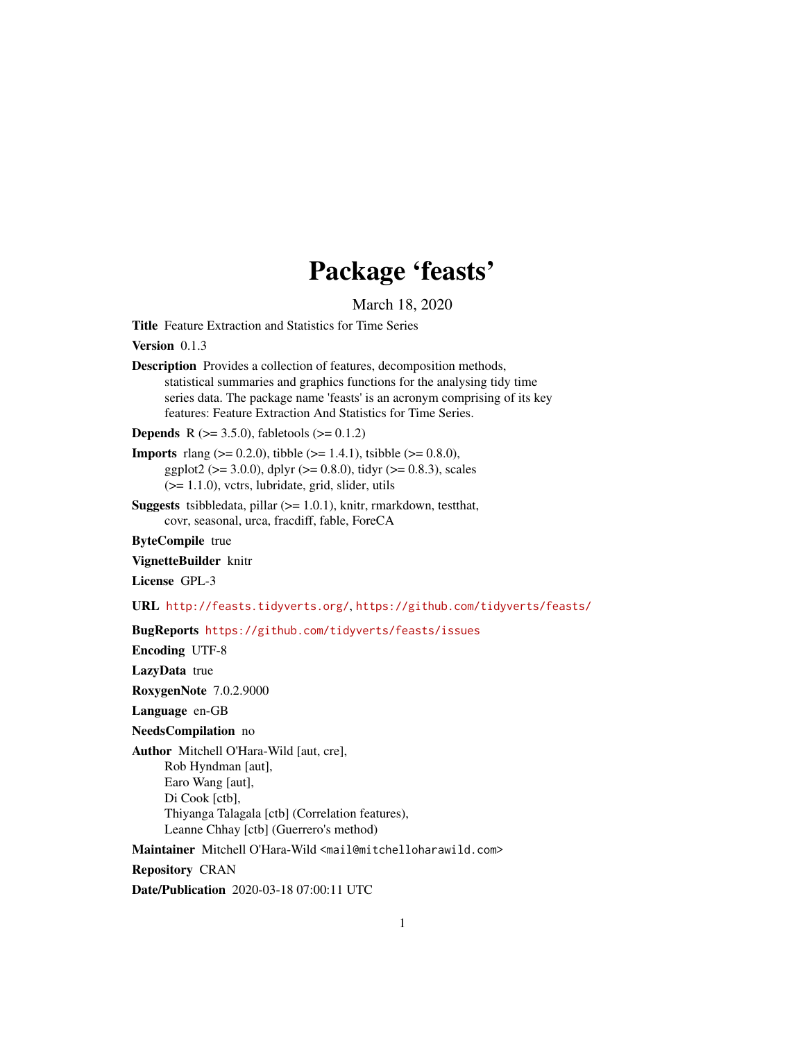## Package 'feasts'

March 18, 2020

<span id="page-0-0"></span>Title Feature Extraction and Statistics for Time Series

Version 0.1.3

Description Provides a collection of features, decomposition methods, statistical summaries and graphics functions for the analysing tidy time series data. The package name 'feasts' is an acronym comprising of its key features: Feature Extraction And Statistics for Time Series.

**Depends** R ( $>= 3.5.0$ ), fabletools ( $>= 0.1.2$ )

**Imports** rlang ( $> = 0.2.0$ ), tibble ( $> = 1.4.1$ ), tsibble ( $> = 0.8.0$ ), ggplot2 ( $> = 3.0.0$ ), dplyr ( $> = 0.8.0$ ), tidyr ( $> = 0.8.3$ ), scales (>= 1.1.0), vctrs, lubridate, grid, slider, utils

**Suggests** tsibbledata, pillar  $(>= 1.0.1)$ , knitr, rmarkdown, testthat, covr, seasonal, urca, fracdiff, fable, ForeCA

ByteCompile true

VignetteBuilder knitr

License GPL-3

URL <http://feasts.tidyverts.org/>, <https://github.com/tidyverts/feasts/>

BugReports <https://github.com/tidyverts/feasts/issues>

Encoding UTF-8

LazyData true

RoxygenNote 7.0.2.9000

Language en-GB

NeedsCompilation no

Author Mitchell O'Hara-Wild [aut, cre],

Rob Hyndman [aut], Earo Wang [aut], Di Cook [ctb], Thiyanga Talagala [ctb] (Correlation features), Leanne Chhay [ctb] (Guerrero's method)

Maintainer Mitchell O'Hara-Wild <mail@mitchelloharawild.com>

Repository CRAN

Date/Publication 2020-03-18 07:00:11 UTC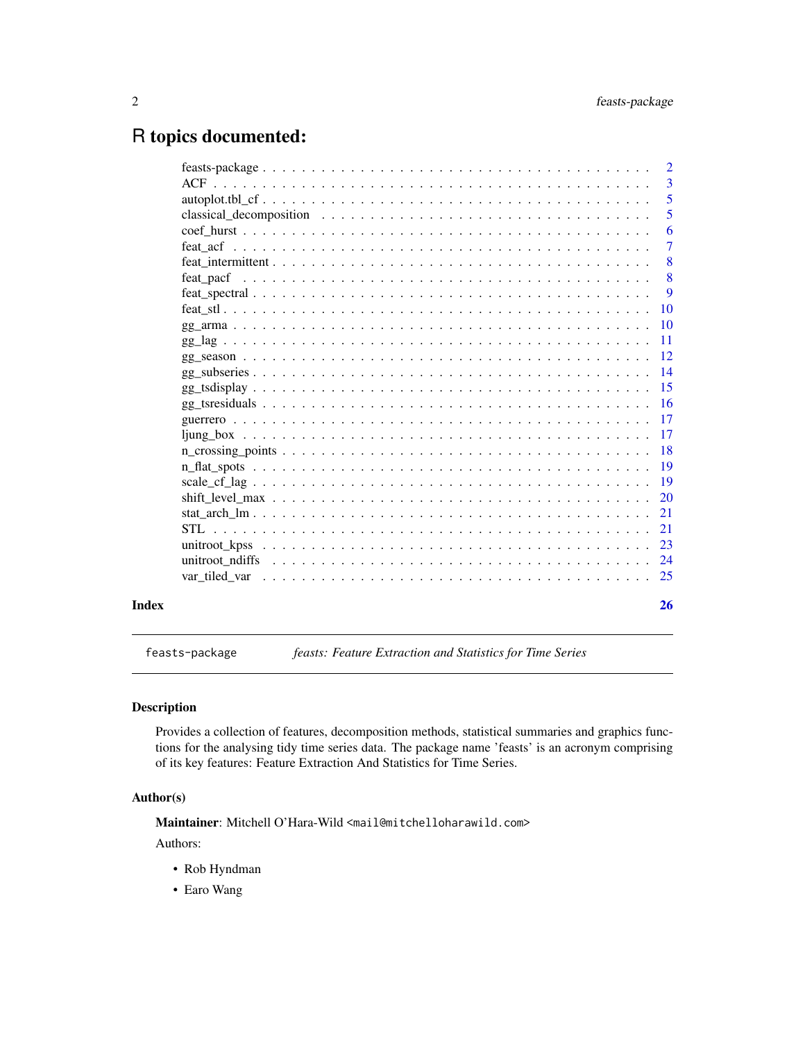### <span id="page-1-0"></span>R topics documented:

|                                                                                                        | -5                        |
|--------------------------------------------------------------------------------------------------------|---------------------------|
| classical decomposition $\ldots \ldots \ldots \ldots \ldots \ldots \ldots \ldots \ldots \ldots \ldots$ | 5                         |
|                                                                                                        | 6                         |
|                                                                                                        | $\overline{7}$            |
|                                                                                                        | 8                         |
|                                                                                                        | $\overline{\phantom{0}}8$ |
|                                                                                                        | 9                         |
|                                                                                                        |                           |
|                                                                                                        |                           |
|                                                                                                        |                           |
|                                                                                                        |                           |
|                                                                                                        |                           |
|                                                                                                        |                           |
|                                                                                                        |                           |
|                                                                                                        |                           |
|                                                                                                        |                           |
|                                                                                                        |                           |
|                                                                                                        |                           |
|                                                                                                        |                           |
|                                                                                                        |                           |
|                                                                                                        |                           |
|                                                                                                        |                           |
|                                                                                                        |                           |
|                                                                                                        |                           |
|                                                                                                        |                           |
|                                                                                                        | 26                        |

feasts-package *feasts: Feature Extraction and Statistics for Time Series*

#### Description

Provides a collection of features, decomposition methods, statistical summaries and graphics functions for the analysing tidy time series data. The package name 'feasts' is an acronym comprising of its key features: Feature Extraction And Statistics for Time Series.

#### Author(s)

Maintainer: Mitchell O'Hara-Wild <mail@mitchelloharawild.com>

Authors:

- Rob Hyndman
- Earo Wang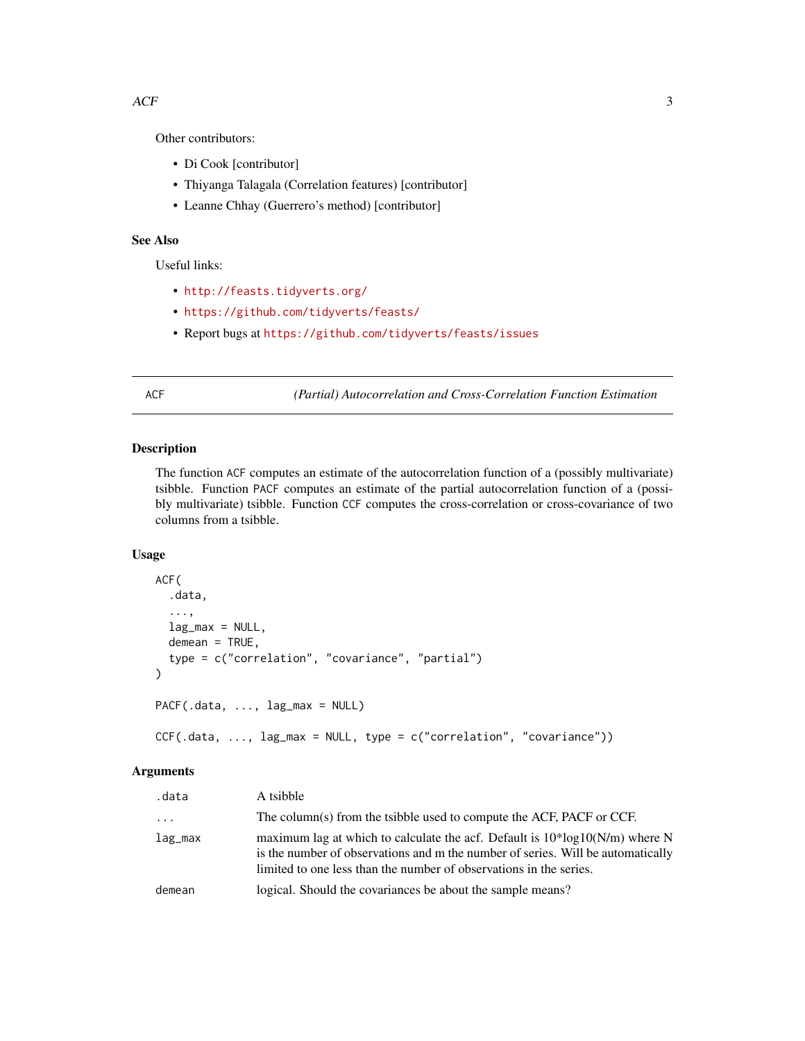#### <span id="page-2-0"></span> $ACF$  3

Other contributors:

- Di Cook [contributor]
- Thiyanga Talagala (Correlation features) [contributor]
- Leanne Chhay (Guerrero's method) [contributor]

#### See Also

Useful links:

- <http://feasts.tidyverts.org/>
- <https://github.com/tidyverts/feasts/>
- Report bugs at <https://github.com/tidyverts/feasts/issues>

<span id="page-2-1"></span>ACF *(Partial) Autocorrelation and Cross-Correlation Function Estimation*

#### <span id="page-2-2"></span>Description

The function ACF computes an estimate of the autocorrelation function of a (possibly multivariate) tsibble. Function PACF computes an estimate of the partial autocorrelation function of a (possibly multivariate) tsibble. Function CCF computes the cross-correlation or cross-covariance of two columns from a tsibble.

#### Usage

```
ACF(
  .data,
  ...,
  lag_max = NULL,demean = TRUE,
  type = c("correlation", "covariance", "partial")
\mathcal{L}PACF(.data, ..., lag_max = NULL)
CCF(.data, ..., lag_max = NULL, type = c("correlation", "covariance"))
```
#### Arguments

| .data    | A tsibble                                                                                                                                                                                                                              |
|----------|----------------------------------------------------------------------------------------------------------------------------------------------------------------------------------------------------------------------------------------|
| $\cdots$ | The column(s) from the tsibble used to compute the ACF, PACF or CCF.                                                                                                                                                                   |
| lag_max  | maximum lag at which to calculate the acf. Default is $10*log10(N/m)$ where N<br>is the number of observations and m the number of series. Will be automatically<br>limited to one less than the number of observations in the series. |
| demean   | logical. Should the covariances be about the sample means?                                                                                                                                                                             |
|          |                                                                                                                                                                                                                                        |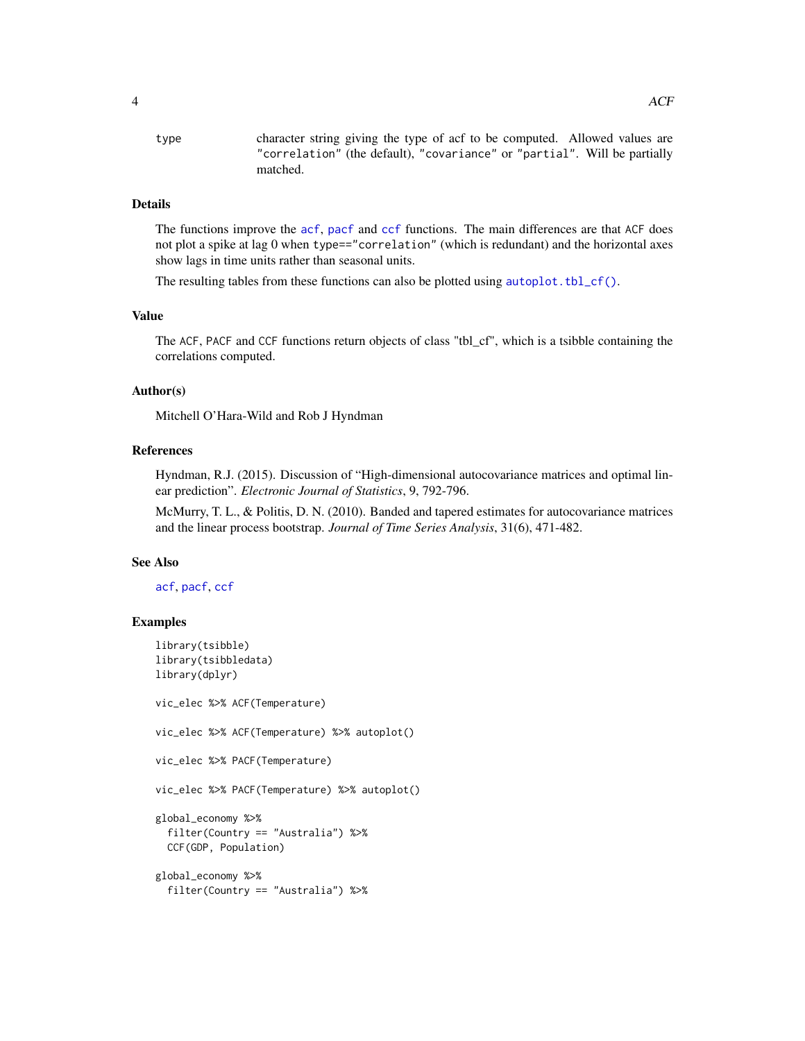<span id="page-3-0"></span>type character string giving the type of acf to be computed. Allowed values are "correlation" (the default), "covariance" or "partial". Will be partially matched.

#### Details

The functions improve the [acf](#page-0-0), [pacf](#page-0-0) and [ccf](#page-0-0) functions. The main differences are that ACF does not plot a spike at lag 0 when type=="correlation" (which is redundant) and the horizontal axes show lags in time units rather than seasonal units.

The resulting tables from these functions can also be plotted using [autoplot.tbl\\_cf\(\)](#page-4-1).

#### Value

The ACF, PACF and CCF functions return objects of class "tbl\_cf", which is a tsibble containing the correlations computed.

#### Author(s)

Mitchell O'Hara-Wild and Rob J Hyndman

#### References

Hyndman, R.J. (2015). Discussion of "High-dimensional autocovariance matrices and optimal linear prediction". *Electronic Journal of Statistics*, 9, 792-796.

McMurry, T. L., & Politis, D. N. (2010). Banded and tapered estimates for autocovariance matrices and the linear process bootstrap. *Journal of Time Series Analysis*, 31(6), 471-482.

#### See Also

[acf](#page-0-0), [pacf](#page-0-0), [ccf](#page-0-0)

#### Examples

```
library(tsibble)
library(tsibbledata)
library(dplyr)
vic_elec %>% ACF(Temperature)
vic_elec %>% ACF(Temperature) %>% autoplot()
vic_elec %>% PACF(Temperature)
vic_elec %>% PACF(Temperature) %>% autoplot()
global_economy %>%
 filter(Country == "Australia") %>%
 CCF(GDP, Population)
global_economy %>%
 filter(Country == "Australia") %>%
```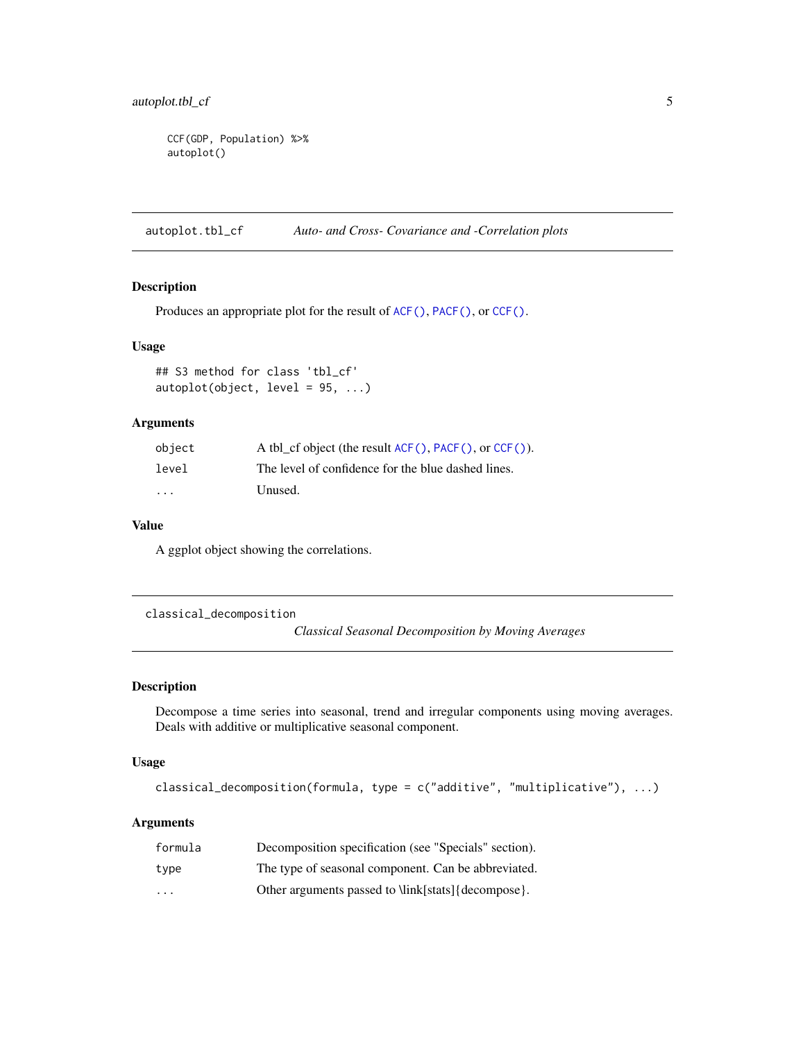```
CCF(GDP, Population) %>%
autoplot()
```
<span id="page-4-1"></span>autoplot.tbl\_cf *Auto- and Cross- Covariance and -Correlation plots*

#### Description

Produces an appropriate plot for the result of [ACF\(\)](#page-2-1), [PACF\(\)](#page-2-2), or [CCF\(\)](#page-2-2).

#### Usage

```
## S3 method for class 'tbl_cf'
autoplot(object, level = 95, ...)
```
#### Arguments

| object  | A tbl cf object (the result $ACF()$ , $PACF()$ , or $CCF()$ ). |
|---------|----------------------------------------------------------------|
| level   | The level of confidence for the blue dashed lines.             |
| $\cdot$ | Unused.                                                        |

#### Value

A ggplot object showing the correlations.

classical\_decomposition

*Classical Seasonal Decomposition by Moving Averages*

#### Description

Decompose a time series into seasonal, trend and irregular components using moving averages. Deals with additive or multiplicative seasonal component.

#### Usage

```
classical_decomposition(formula, type = c("additive", "multiplicative"), ...)
```
#### Arguments

| formula                 | Decomposition specification (see "Specials" section). |
|-------------------------|-------------------------------------------------------|
| type                    | The type of seasonal component. Can be abbreviated.   |
| $\cdot$ $\cdot$ $\cdot$ | Other arguments passed to \link[stats]{decompose}.    |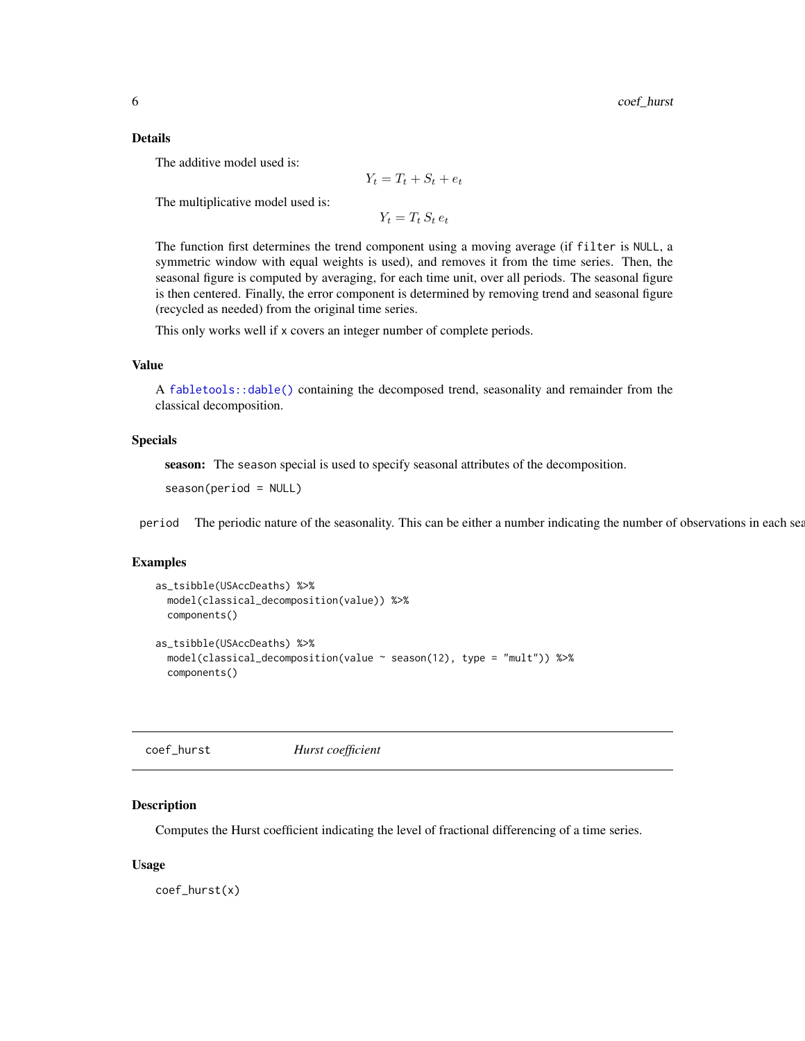#### <span id="page-5-0"></span>Details

The additive model used is:

$$
Y_t = T_t + S_t + e_t
$$

The multiplicative model used is:

 $Y_t = T_t S_t e_t$ 

The function first determines the trend component using a moving average (if filter is NULL, a symmetric window with equal weights is used), and removes it from the time series. Then, the seasonal figure is computed by averaging, for each time unit, over all periods. The seasonal figure is then centered. Finally, the error component is determined by removing trend and seasonal figure (recycled as needed) from the original time series.

This only works well if x covers an integer number of complete periods.

#### Value

A [fabletools::dable\(\)](#page-0-0) containing the decomposed trend, seasonality and remainder from the classical decomposition.

#### Specials

season: The season special is used to specify seasonal attributes of the decomposition.

season(period = NULL)

period The periodic nature of the seasonality. This can be either a number indicating the number of observations in each sea

#### Examples

```
as_tsibble(USAccDeaths) %>%
 model(classical_decomposition(value)) %>%
 components()
as_tsibble(USAccDeaths) %>%
 model(classical_decomposition(value ~ season(12), type = "mult")) %>%
 components()
```
coef\_hurst *Hurst coefficient*

#### **Description**

Computes the Hurst coefficient indicating the level of fractional differencing of a time series.

#### Usage

coef\_hurst(x)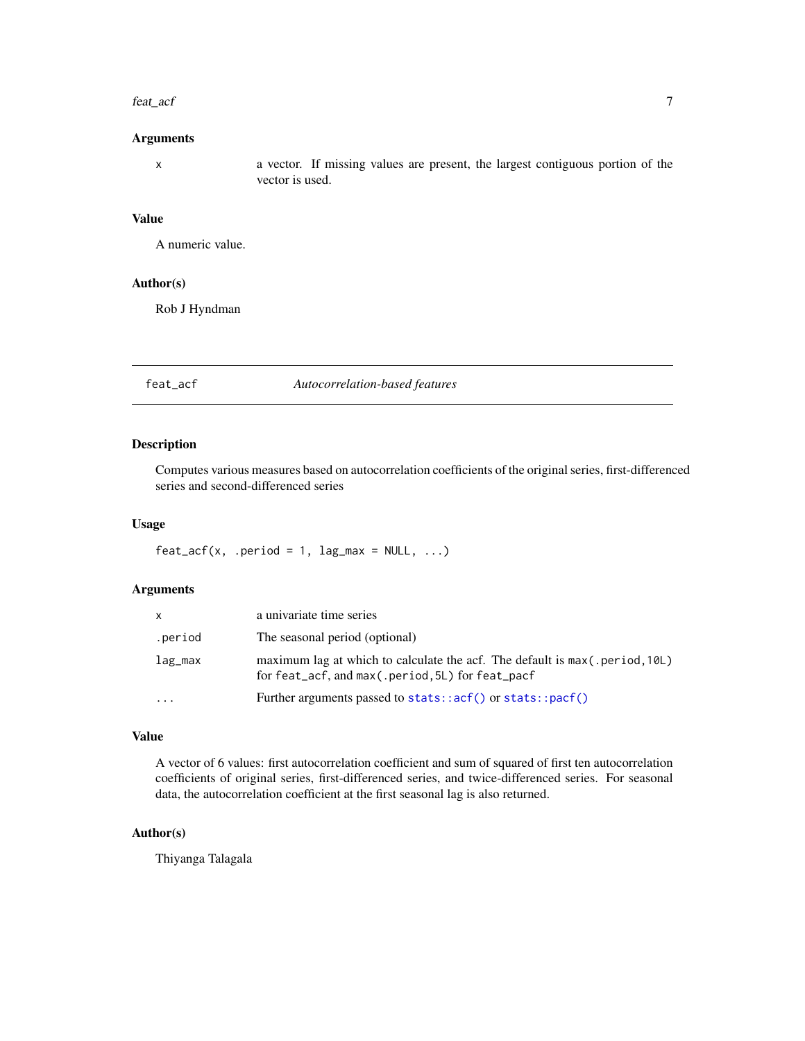#### <span id="page-6-0"></span>feat\_acf 7

#### Arguments

x a vector. If missing values are present, the largest contiguous portion of the vector is used.

#### Value

A numeric value.

#### Author(s)

Rob J Hyndman

feat\_acf *Autocorrelation-based features*

#### Description

Computes various measures based on autocorrelation coefficients of the original series, first-differenced series and second-differenced series

#### Usage

 $feat\_acf(x, .period = 1, lag\_max = NULL, . . .)$ 

#### Arguments

| x       | a univariate time series                                                                                                        |
|---------|---------------------------------------------------------------------------------------------------------------------------------|
| .period | The seasonal period (optional)                                                                                                  |
| lag_max | maximum lag at which to calculate the acf. The default is max(.period, 10L)<br>for feat_acf, and max(.period, 5L) for feat_pacf |
| .       | Further arguments passed to stats:: $act()$ or stats:: $part()$                                                                 |

#### Value

A vector of 6 values: first autocorrelation coefficient and sum of squared of first ten autocorrelation coefficients of original series, first-differenced series, and twice-differenced series. For seasonal data, the autocorrelation coefficient at the first seasonal lag is also returned.

#### Author(s)

Thiyanga Talagala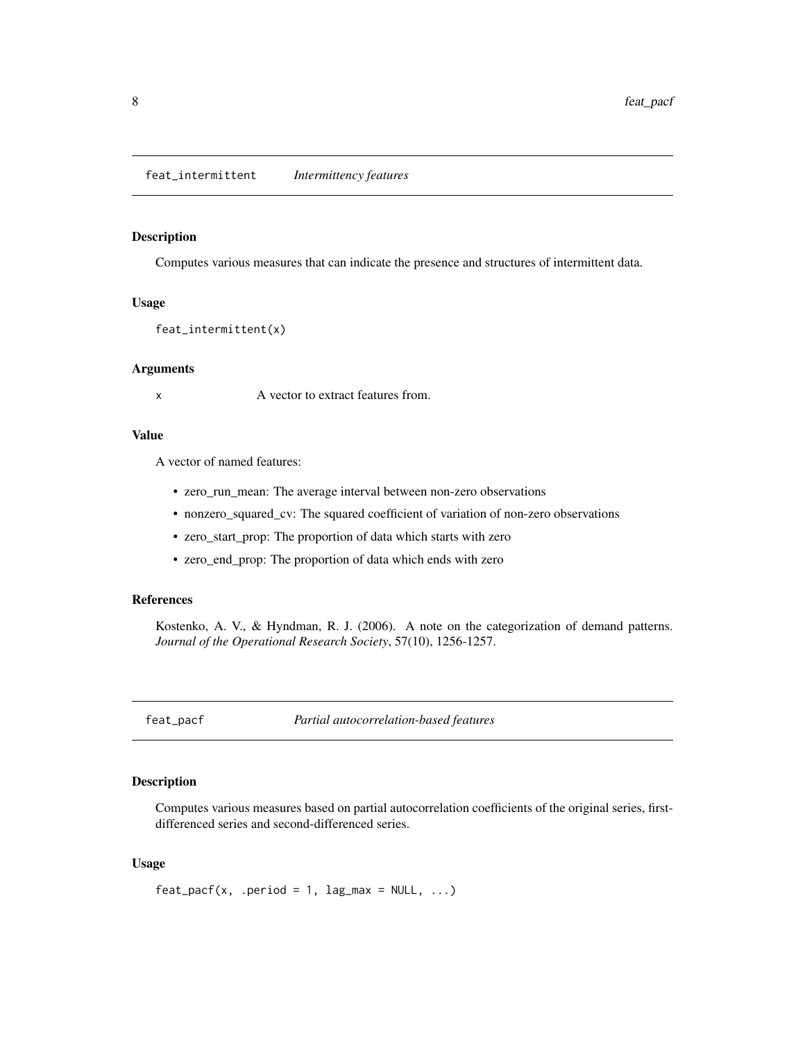<span id="page-7-0"></span>Computes various measures that can indicate the presence and structures of intermittent data.

#### Usage

feat\_intermittent(x)

#### Arguments

x A vector to extract features from.

#### Value

A vector of named features:

- zero\_run\_mean: The average interval between non-zero observations
- nonzero\_squared\_cv: The squared coefficient of variation of non-zero observations
- zero\_start\_prop: The proportion of data which starts with zero
- zero\_end\_prop: The proportion of data which ends with zero

#### References

Kostenko, A. V., & Hyndman, R. J. (2006). A note on the categorization of demand patterns. *Journal of the Operational Research Society*, 57(10), 1256-1257.

feat\_pacf *Partial autocorrelation-based features*

#### Description

Computes various measures based on partial autocorrelation coefficients of the original series, firstdifferenced series and second-differenced series.

#### Usage

 $feat\_pacf(x, .period = 1, lag\_max = NULL, . . .)$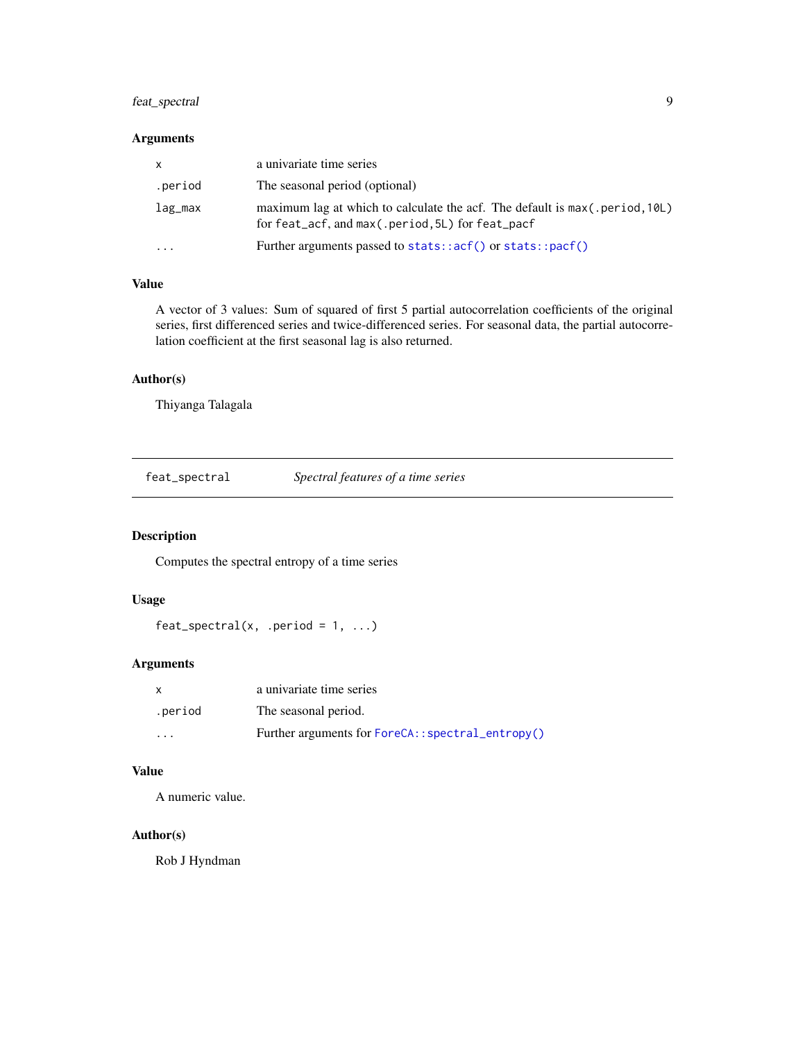#### <span id="page-8-0"></span>feat\_spectral 9

#### Arguments

| X        | a univariate time series                                                                                                        |
|----------|---------------------------------------------------------------------------------------------------------------------------------|
| .period  | The seasonal period (optional)                                                                                                  |
| lag_max  | maximum lag at which to calculate the acf. The default is max(.period, 10L)<br>for feat_acf, and max(.period, 5L) for feat_pacf |
| $\cdots$ | Further arguments passed to stats::acf() or stats::pacf()                                                                       |

#### Value

A vector of 3 values: Sum of squared of first 5 partial autocorrelation coefficients of the original series, first differenced series and twice-differenced series. For seasonal data, the partial autocorrelation coefficient at the first seasonal lag is also returned.

#### Author(s)

Thiyanga Talagala

feat\_spectral *Spectral features of a time series*

#### Description

Computes the spectral entropy of a time series

#### Usage

```
feat\_spectral(x, .period = 1, . . .)
```
#### Arguments

|         | a univariate time series                         |
|---------|--------------------------------------------------|
| .period | The seasonal period.                             |
| $\cdot$ | Further arguments for ForeCA::spectral_entropy() |

#### Value

A numeric value.

#### Author(s)

Rob J Hyndman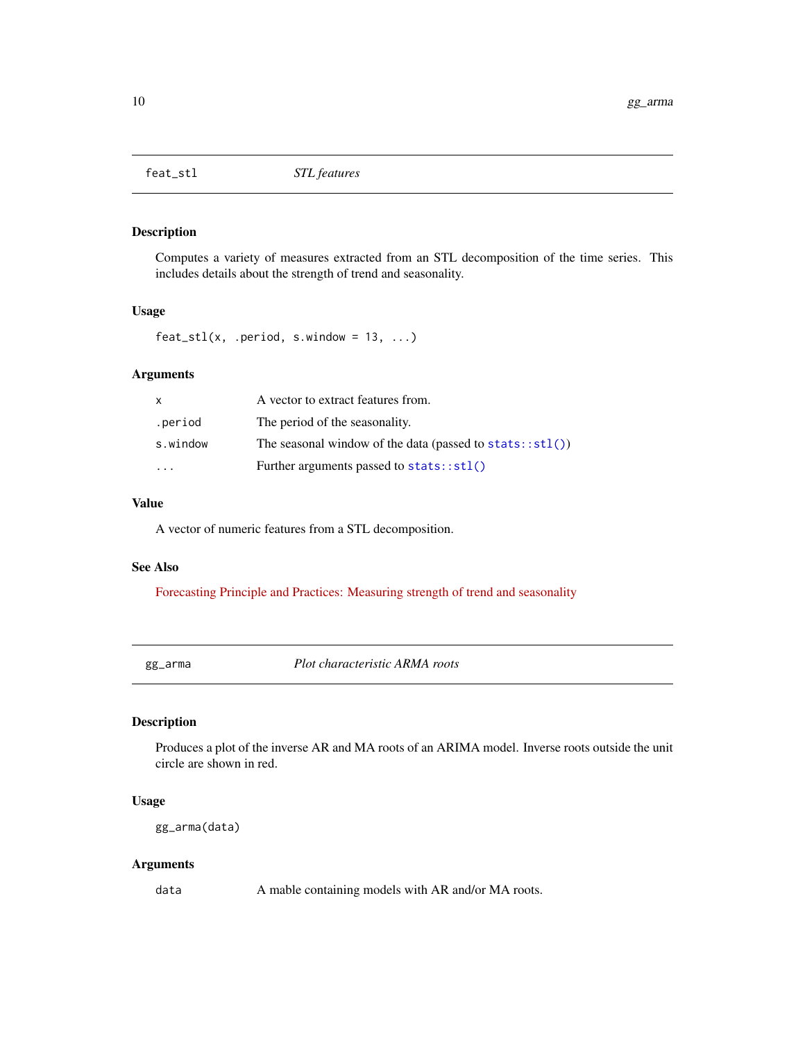<span id="page-9-0"></span>

Computes a variety of measures extracted from an STL decomposition of the time series. This includes details about the strength of trend and seasonality.

#### Usage

 $feat\_stl(x, .period, s.window = 13, . . .)$ 

#### Arguments

| x                       | A vector to extract features from.                          |
|-------------------------|-------------------------------------------------------------|
| .period                 | The period of the seasonality.                              |
| s.window                | The seasonal window of the data (passed to $stats::stl()$ ) |
| $\cdot$ $\cdot$ $\cdot$ | Further arguments passed to $stats::stl()$                  |

#### Value

A vector of numeric features from a STL decomposition.

#### See Also

[Forecasting Principle and Practices: Measuring strength of trend and seasonality](https://otexts.com/fpp3/seasonal-strength.html)

gg\_arma *Plot characteristic ARMA roots*

#### Description

Produces a plot of the inverse AR and MA roots of an ARIMA model. Inverse roots outside the unit circle are shown in red.

#### Usage

gg\_arma(data)

#### Arguments

data A mable containing models with AR and/or MA roots.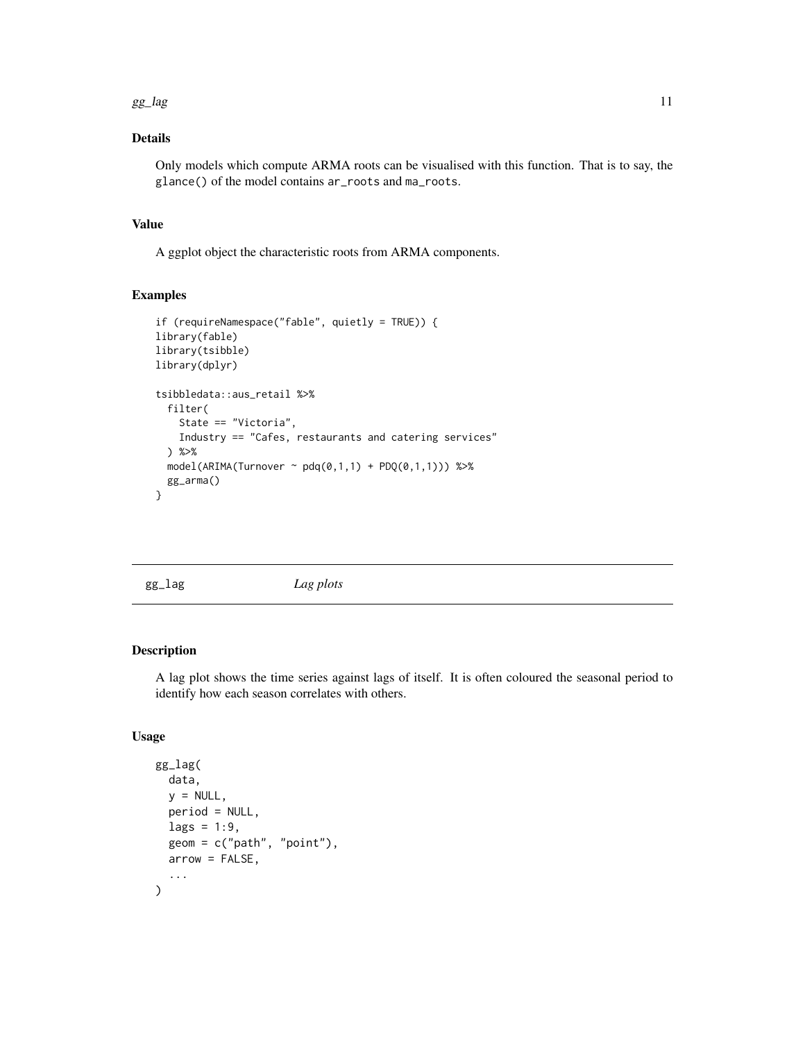#### <span id="page-10-0"></span> $gg\_{lag}$  11

#### Details

Only models which compute ARMA roots can be visualised with this function. That is to say, the glance() of the model contains ar\_roots and ma\_roots.

#### Value

A ggplot object the characteristic roots from ARMA components.

#### Examples

```
if (requireNamespace("fable", quietly = TRUE)) {
library(fable)
library(tsibble)
library(dplyr)
tsibbledata::aus_retail %>%
  filter(
    State == "Victoria",
    Industry == "Cafes, restaurants and catering services"
  ) %>%
  model(ARIMA(Turnover ~ pdq(0,1,1) + PDQ(0,1,1))) %>%
  gg_arma()
}
```
gg\_lag *Lag plots*

#### Description

A lag plot shows the time series against lags of itself. It is often coloured the seasonal period to identify how each season correlates with others.

#### Usage

```
gg_lag(
  data,
  y = NULL,period = NULL,
  lags = 1:9,geom = c("path", "point"),arrow = FALSE,
  ...
\mathcal{L}
```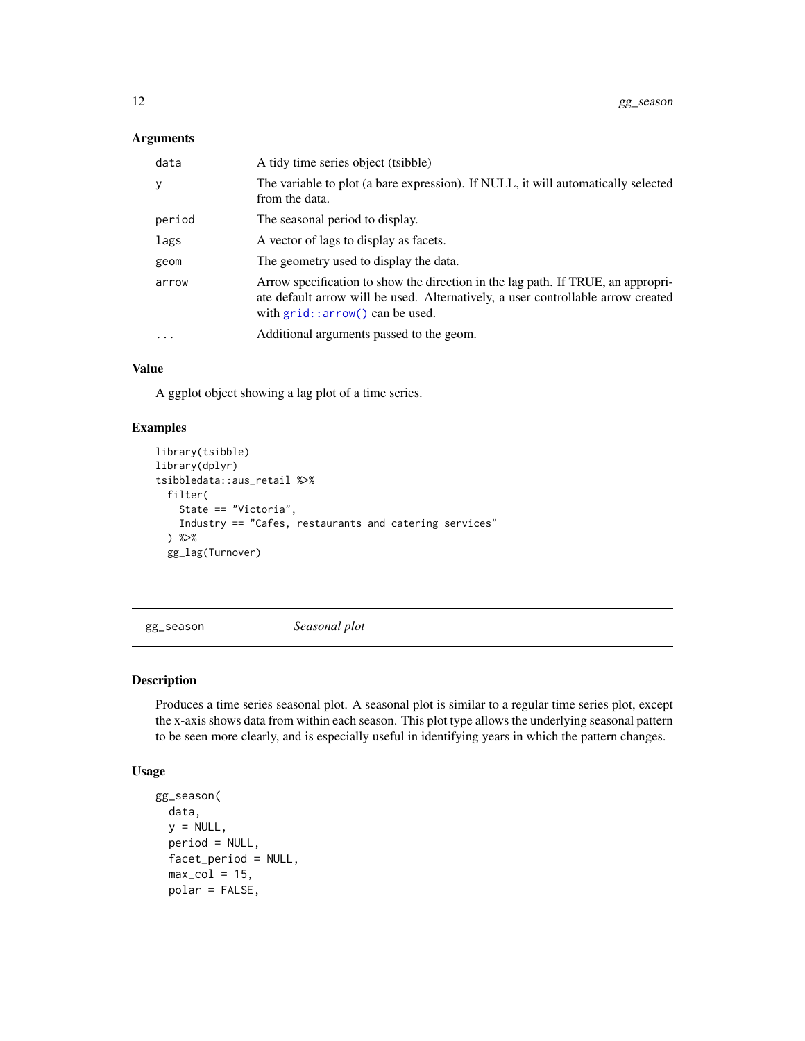#### <span id="page-11-0"></span>Arguments

| data     | A tidy time series object (tsibble)                                                                                                                                                                        |
|----------|------------------------------------------------------------------------------------------------------------------------------------------------------------------------------------------------------------|
| y        | The variable to plot (a bare expression). If NULL, it will automatically selected<br>from the data.                                                                                                        |
| period   | The seasonal period to display.                                                                                                                                                                            |
| lags     | A vector of lags to display as facets.                                                                                                                                                                     |
| geom     | The geometry used to display the data.                                                                                                                                                                     |
| arrow    | Arrow specification to show the direction in the lag path. If TRUE, an appropri-<br>ate default arrow will be used. Alternatively, a user controllable arrow created<br>with $grid$ : arrow() can be used. |
| $\cdots$ | Additional arguments passed to the geom.                                                                                                                                                                   |

#### Value

A ggplot object showing a lag plot of a time series.

#### Examples

```
library(tsibble)
library(dplyr)
tsibbledata::aus_retail %>%
  filter(
    State == "Victoria",
    Industry == "Cafes, restaurants and catering services"
  ) %>%
  gg_lag(Turnover)
```
<span id="page-11-1"></span>gg\_season *Seasonal plot*

#### Description

Produces a time series seasonal plot. A seasonal plot is similar to a regular time series plot, except the x-axis shows data from within each season. This plot type allows the underlying seasonal pattern to be seen more clearly, and is especially useful in identifying years in which the pattern changes.

#### Usage

```
gg_season(
  data,
 y = NULL,period = NULL,
  facet_period = NULL,
  max_col = 15,
  polar = FALSE,
```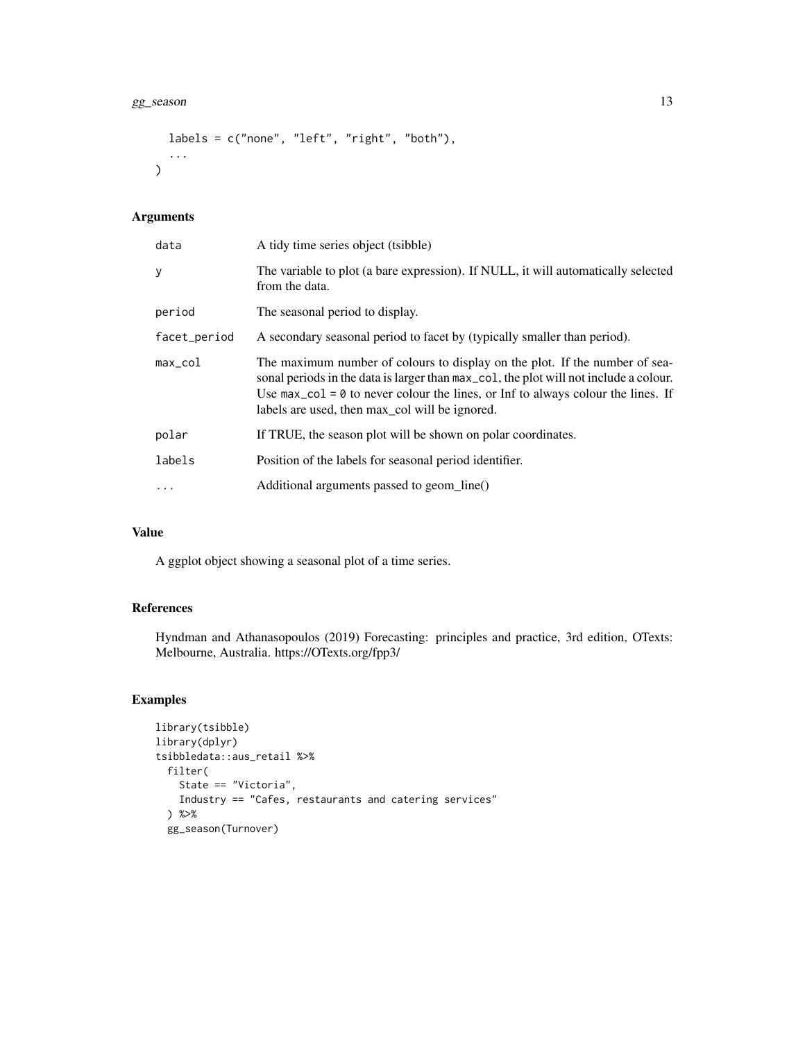#### gg\_season 13

```
labels = c("none", "left", "right", "both"),
  ...
\mathcal{L}
```
#### Arguments

| data          | A tidy time series object (tsibble)                                                                                                                                                                                                                                                                                                       |
|---------------|-------------------------------------------------------------------------------------------------------------------------------------------------------------------------------------------------------------------------------------------------------------------------------------------------------------------------------------------|
| У             | The variable to plot (a bare expression). If NULL, it will automatically selected<br>from the data.                                                                                                                                                                                                                                       |
| period        | The seasonal period to display.                                                                                                                                                                                                                                                                                                           |
| facet_period  | A secondary seasonal period to facet by (typically smaller than period).                                                                                                                                                                                                                                                                  |
| $max_{1}$ col | The maximum number of colours to display on the plot. If the number of sea-<br>sonal periods in the data is larger than $max_{\text{col}}$ , the plot will not include a colour.<br>Use $max_{\text{col}} = \emptyset$ to never colour the lines, or Inf to always colour the lines. If<br>labels are used, then max_col will be ignored. |
| polar         | If TRUE, the season plot will be shown on polar coordinates.                                                                                                                                                                                                                                                                              |
| labels        | Position of the labels for seasonal period identifier.                                                                                                                                                                                                                                                                                    |
| $\ddotsc$     | Additional arguments passed to geom_line()                                                                                                                                                                                                                                                                                                |

#### Value

A ggplot object showing a seasonal plot of a time series.

#### References

Hyndman and Athanasopoulos (2019) Forecasting: principles and practice, 3rd edition, OTexts: Melbourne, Australia. https://OTexts.org/fpp3/

#### Examples

```
library(tsibble)
library(dplyr)
tsibbledata::aus_retail %>%
  filter(
   State == "Victoria",
   Industry == "Cafes, restaurants and catering services"
  ) %>%
  gg_season(Turnover)
```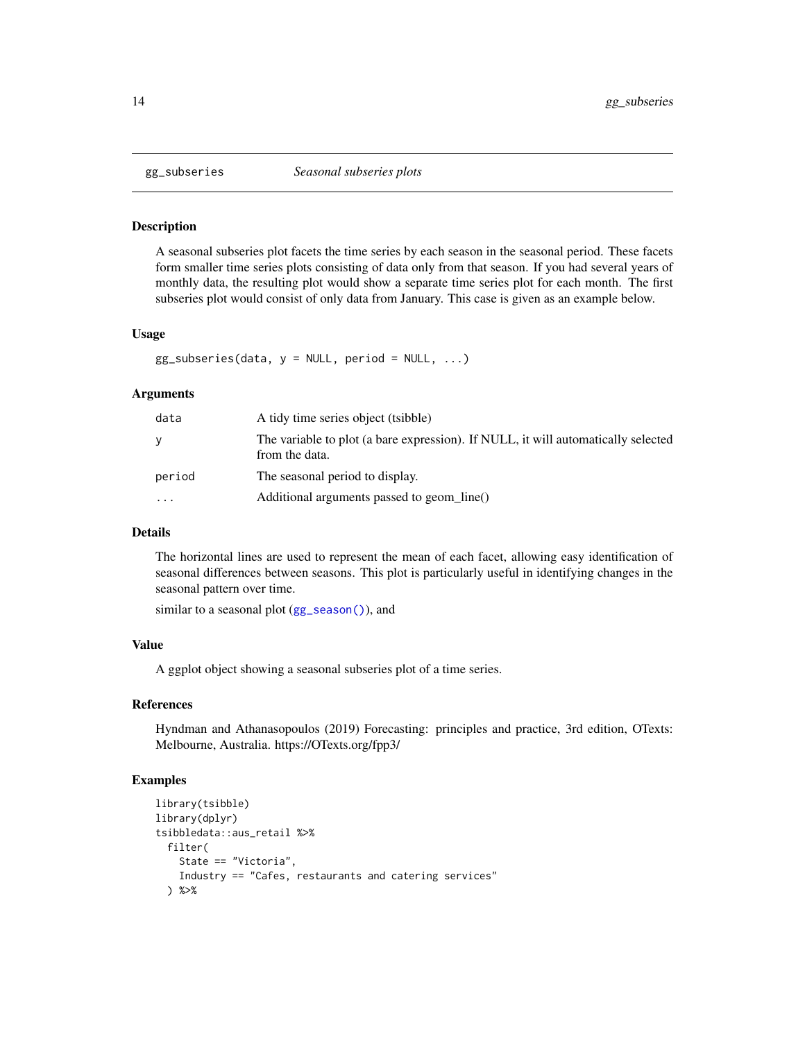<span id="page-13-0"></span>

A seasonal subseries plot facets the time series by each season in the seasonal period. These facets form smaller time series plots consisting of data only from that season. If you had several years of monthly data, the resulting plot would show a separate time series plot for each month. The first subseries plot would consist of only data from January. This case is given as an example below.

#### Usage

 $gg\_subseries(data, y = NULL, period = NULL, ...)$ 

#### Arguments

| data      | A tidy time series object (tsibble)                                                                 |
|-----------|-----------------------------------------------------------------------------------------------------|
| V         | The variable to plot (a bare expression). If NULL, it will automatically selected<br>from the data. |
| period    | The seasonal period to display.                                                                     |
| $\ddotsc$ | Additional arguments passed to geom_line()                                                          |

#### Details

The horizontal lines are used to represent the mean of each facet, allowing easy identification of seasonal differences between seasons. This plot is particularly useful in identifying changes in the seasonal pattern over time.

similar to a seasonal plot ([gg\\_season\(\)](#page-11-1)), and

#### Value

A ggplot object showing a seasonal subseries plot of a time series.

#### References

Hyndman and Athanasopoulos (2019) Forecasting: principles and practice, 3rd edition, OTexts: Melbourne, Australia. https://OTexts.org/fpp3/

#### Examples

```
library(tsibble)
library(dplyr)
tsibbledata::aus_retail %>%
 filter(
   State == "Victoria",
   Industry == "Cafes, restaurants and catering services"
 ) %>%
```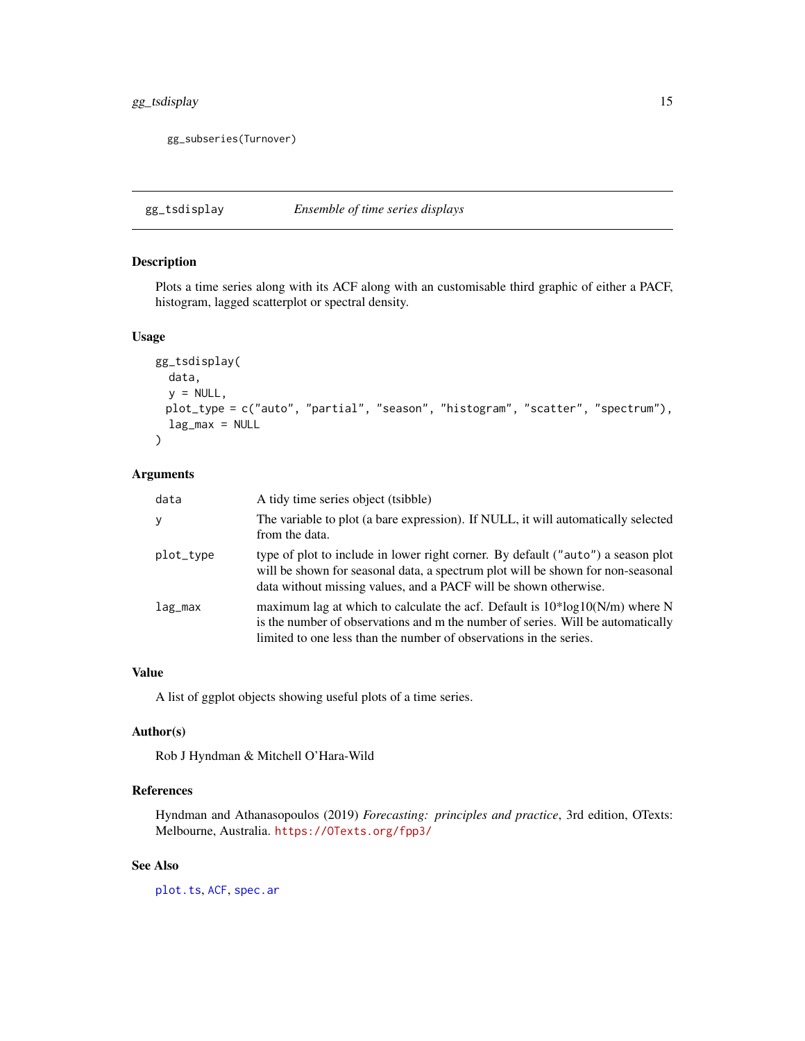#### <span id="page-14-0"></span>gg\_tsdisplay 15

gg\_subseries(Turnover)

<span id="page-14-1"></span>gg\_tsdisplay *Ensemble of time series displays*

#### Description

Plots a time series along with its ACF along with an customisable third graphic of either a PACF, histogram, lagged scatterplot or spectral density.

#### Usage

```
gg_tsdisplay(
 data,
 y = NULL,plot_type = c("auto", "partial", "season", "histogram", "scatter", "spectrum"),
 lag_max = NULL)
```
#### Arguments

| data      | A tidy time series object (tsibble)                                                                                                                                                                                                     |
|-----------|-----------------------------------------------------------------------------------------------------------------------------------------------------------------------------------------------------------------------------------------|
| y         | The variable to plot (a bare expression). If NULL, it will automatically selected<br>from the data.                                                                                                                                     |
| plot_type | type of plot to include in lower right corner. By default ("auto") a season plot<br>will be shown for seasonal data, a spectrum plot will be shown for non-seasonal<br>data without missing values, and a PACF will be shown otherwise. |
| $lag_max$ | maximum lag at which to calculate the acf. Default is $10*log10(N/m)$ where N<br>is the number of observations and m the number of series. Will be automatically<br>limited to one less than the number of observations in the series.  |

#### Value

A list of ggplot objects showing useful plots of a time series.

#### Author(s)

Rob J Hyndman & Mitchell O'Hara-Wild

#### References

Hyndman and Athanasopoulos (2019) *Forecasting: principles and practice*, 3rd edition, OTexts: Melbourne, Australia. <https://OTexts.org/fpp3/>

#### See Also

[plot.ts](#page-0-0), [ACF](#page-2-1), [spec.ar](#page-0-0)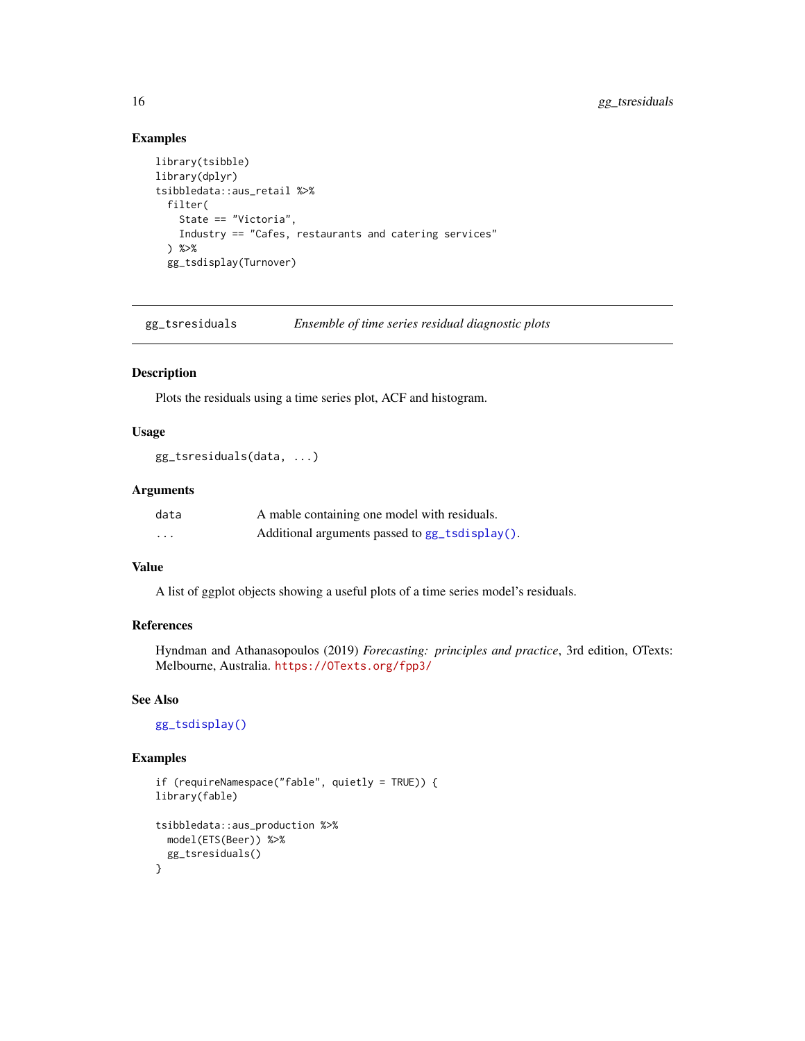#### Examples

```
library(tsibble)
library(dplyr)
tsibbledata::aus_retail %>%
  filter(
   State == "Victoria",
   Industry == "Cafes, restaurants and catering services"
  ) %>%
  gg_tsdisplay(Turnover)
```
gg\_tsresiduals *Ensemble of time series residual diagnostic plots*

#### Description

Plots the residuals using a time series plot, ACF and histogram.

#### Usage

```
gg_tsresiduals(data, ...)
```
#### Arguments

| data              | A mable containing one model with residuals.   |
|-------------------|------------------------------------------------|
| $\cdot\cdot\cdot$ | Additional arguments passed to gg_tsdisplay(). |

#### Value

A list of ggplot objects showing a useful plots of a time series model's residuals.

#### References

Hyndman and Athanasopoulos (2019) *Forecasting: principles and practice*, 3rd edition, OTexts: Melbourne, Australia. <https://OTexts.org/fpp3/>

#### See Also

[gg\\_tsdisplay\(\)](#page-14-1)

#### Examples

```
if (requireNamespace("fable", quietly = TRUE)) {
library(fable)
tsibbledata::aus_production %>%
  model(ETS(Beer)) %>%
  gg_tsresiduals()
}
```
<span id="page-15-0"></span>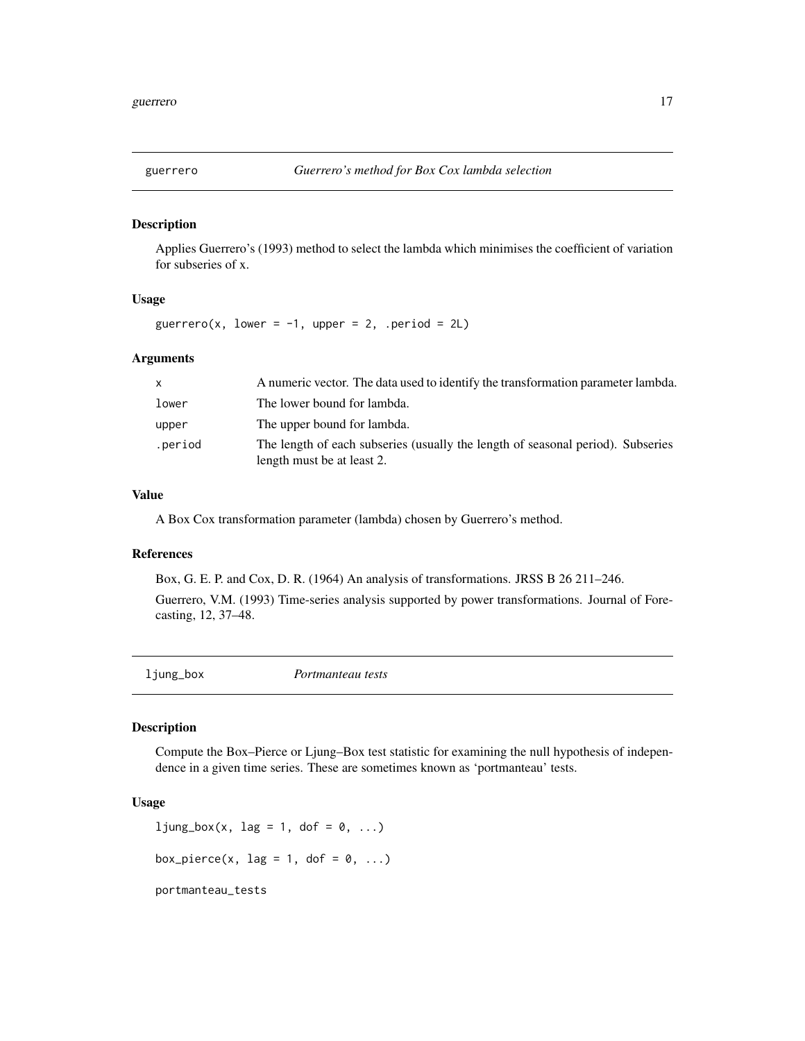<span id="page-16-0"></span>

Applies Guerrero's (1993) method to select the lambda which minimises the coefficient of variation for subseries of x.

#### Usage

guerrero(x, lower =  $-1$ , upper = 2, .period = 2L)

#### Arguments

| X       | A numeric vector. The data used to identify the transformation parameter lambda.                              |
|---------|---------------------------------------------------------------------------------------------------------------|
| lower   | The lower bound for lambda.                                                                                   |
| upper   | The upper bound for lambda.                                                                                   |
| .period | The length of each subseries (usually the length of seasonal period). Subseries<br>length must be at least 2. |

#### Value

A Box Cox transformation parameter (lambda) chosen by Guerrero's method.

#### References

Box, G. E. P. and Cox, D. R. (1964) An analysis of transformations. JRSS B 26 211–246.

Guerrero, V.M. (1993) Time-series analysis supported by power transformations. Journal of Forecasting, 12, 37–48.

| ljung_box | Portmanteau tests |  |
|-----------|-------------------|--|
|           |                   |  |

#### Description

Compute the Box–Pierce or Ljung–Box test statistic for examining the null hypothesis of independence in a given time series. These are sometimes known as 'portmanteau' tests.

#### Usage

```
ljung_box(x, lag = 1, dof = 0, ...)
box_pierce(x, lag = 1, dof = 0, ...)
portmanteau_tests
```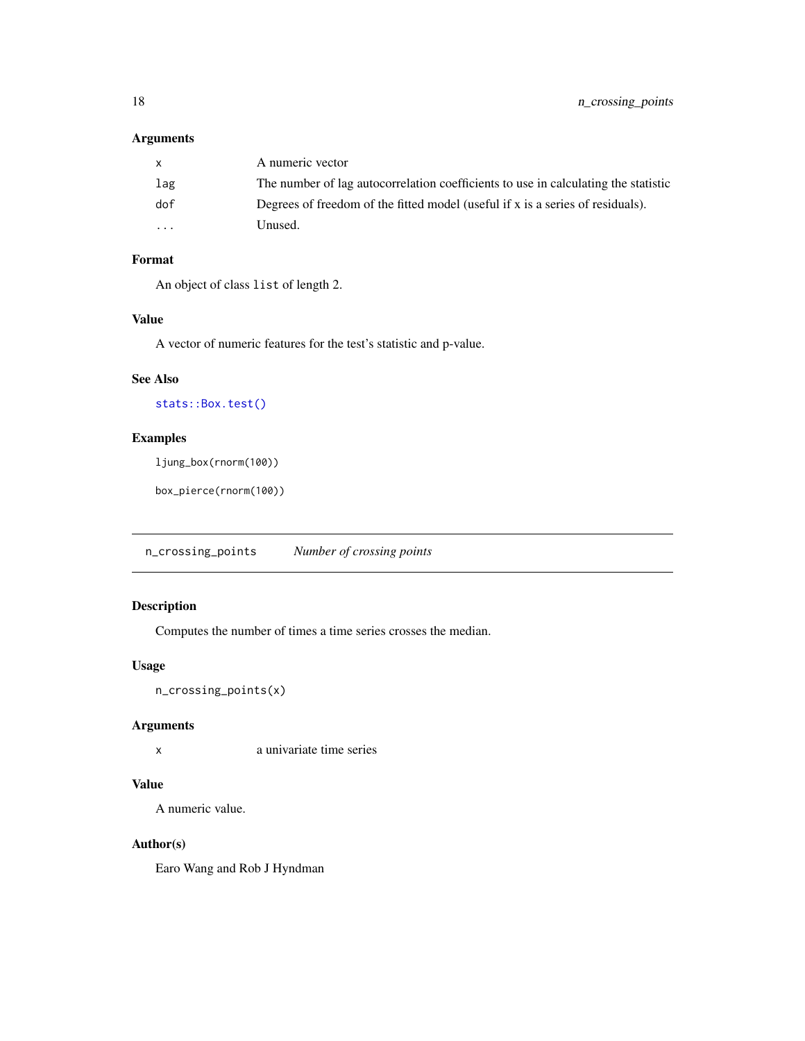#### <span id="page-17-0"></span>Arguments

|          | A numeric vector                                                                   |
|----------|------------------------------------------------------------------------------------|
| lag      | The number of lag autocorrelation coefficients to use in calculating the statistic |
| dof      | Degrees of freedom of the fitted model (useful if $x$ is a series of residuals).   |
| $\cdots$ | Unused.                                                                            |

#### Format

An object of class list of length 2.

#### Value

A vector of numeric features for the test's statistic and p-value.

#### See Also

[stats::Box.test\(\)](#page-0-0)

#### Examples

ljung\_box(rnorm(100))

box\_pierce(rnorm(100))

n\_crossing\_points *Number of crossing points*

#### Description

Computes the number of times a time series crosses the median.

#### Usage

n\_crossing\_points(x)

#### Arguments

x a univariate time series

#### Value

A numeric value.

#### Author(s)

Earo Wang and Rob J Hyndman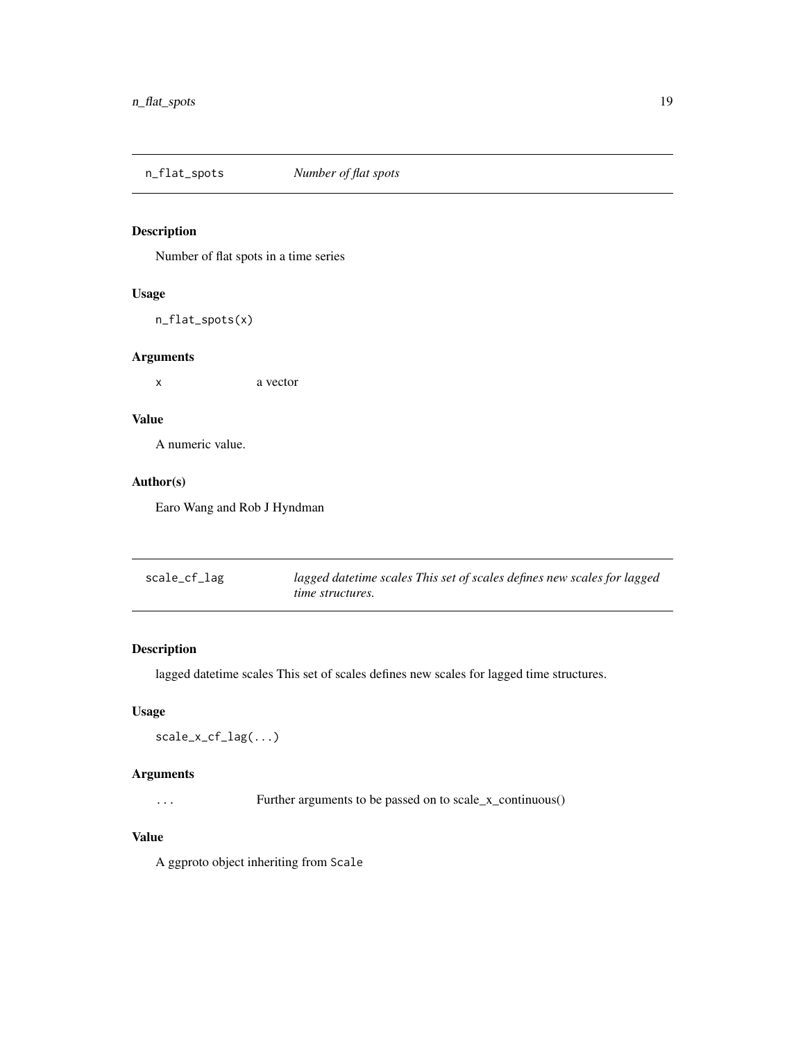<span id="page-18-0"></span>n\_flat\_spots *Number of flat spots*

#### Description

Number of flat spots in a time series

#### Usage

n\_flat\_spots(x)

#### Arguments

x a vector

#### Value

A numeric value.

#### Author(s)

Earo Wang and Rob J Hyndman

| scale_cf_lag | lagged datetime scales This set of scales defines new scales for lagged |
|--------------|-------------------------------------------------------------------------|
|              | <i>time structures.</i>                                                 |

#### Description

lagged datetime scales This set of scales defines new scales for lagged time structures.

#### Usage

scale\_x\_cf\_lag(...)

#### Arguments

... Further arguments to be passed on to scale\_x\_continuous()

#### Value

A ggproto object inheriting from Scale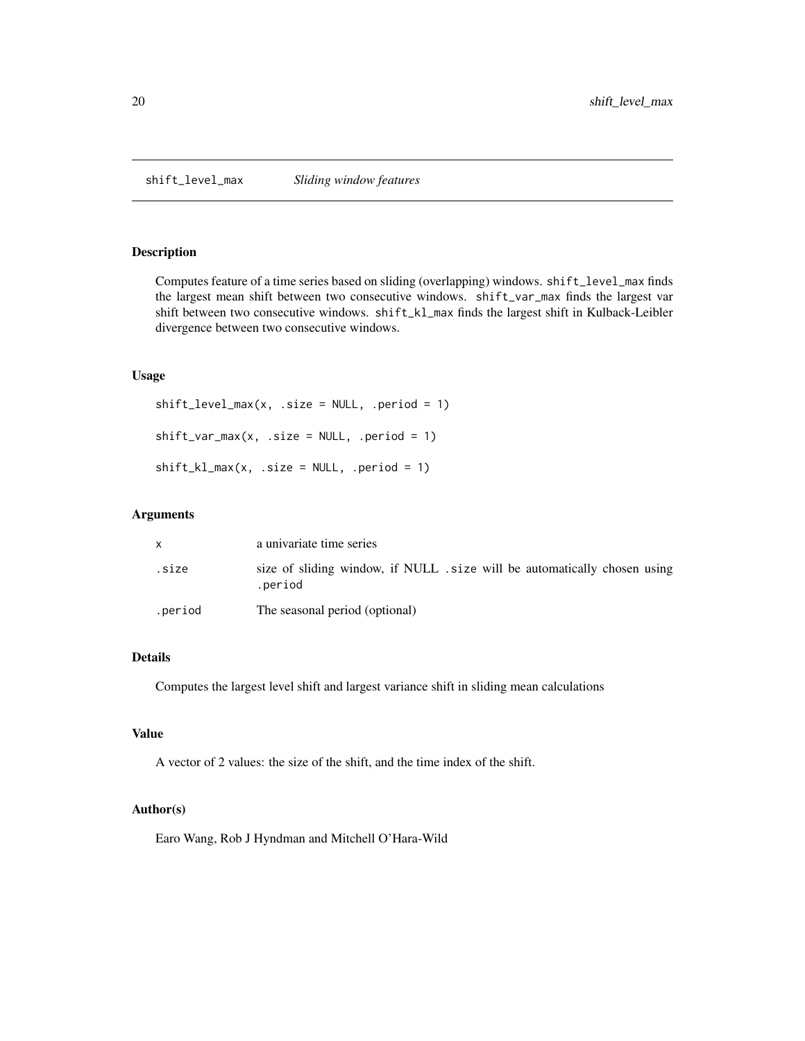<span id="page-19-0"></span>shift\_level\_max *Sliding window features*

#### Description

Computes feature of a time series based on sliding (overlapping) windows. shift\_level\_max finds the largest mean shift between two consecutive windows. shift\_var\_max finds the largest var shift between two consecutive windows. shift\_kl\_max finds the largest shift in Kulback-Leibler divergence between two consecutive windows.

#### Usage

```
shift\_level\_max(x, .size = NULL, .period = 1)shift\_var_max(x, .size = NULL, .period = 1)shift_kl_max(x, .size = NULL, .period = 1)
```
#### Arguments

|         | a univariate time series                                                           |
|---------|------------------------------------------------------------------------------------|
| .size   | size of sliding window, if NULL size will be automatically chosen using<br>.period |
| .period | The seasonal period (optional)                                                     |

#### Details

Computes the largest level shift and largest variance shift in sliding mean calculations

#### Value

A vector of 2 values: the size of the shift, and the time index of the shift.

#### Author(s)

Earo Wang, Rob J Hyndman and Mitchell O'Hara-Wild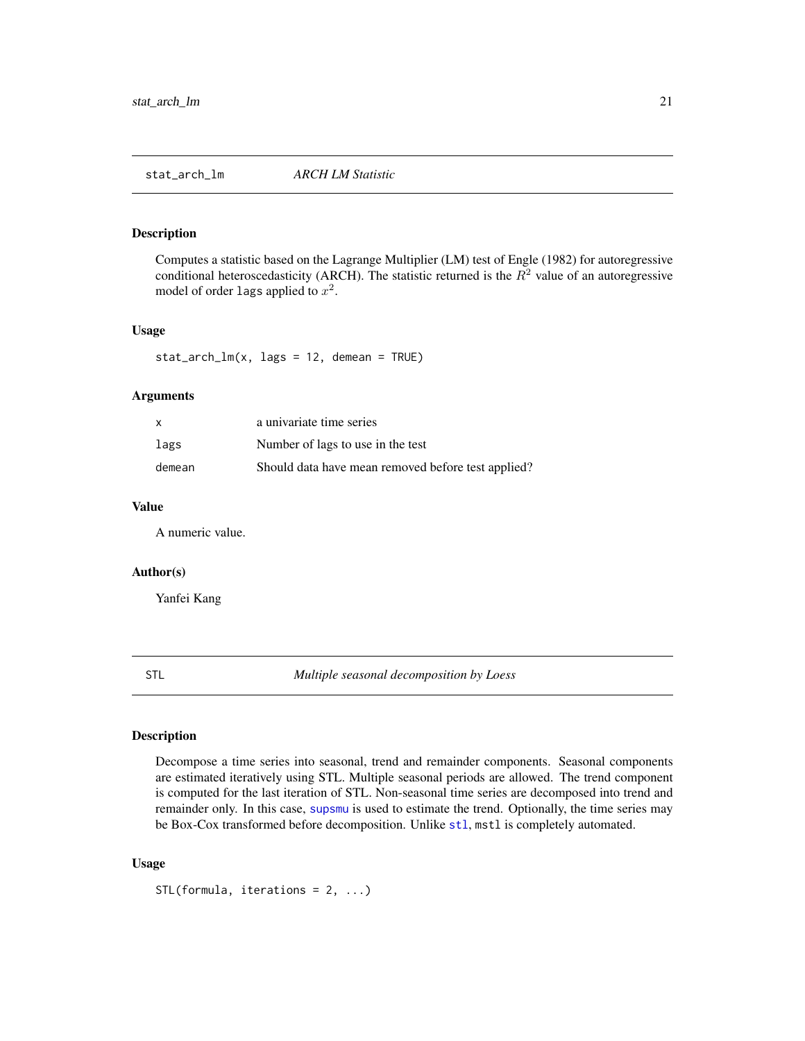<span id="page-20-0"></span>Computes a statistic based on the Lagrange Multiplier (LM) test of Engle (1982) for autoregressive conditional heteroscedasticity (ARCH). The statistic returned is the  $R<sup>2</sup>$  value of an autoregressive model of order lags applied to  $x^2$ .

#### Usage

 $stat_arch_lm(x, lags = 12, demean = TRUE)$ 

#### Arguments

| $\mathsf{x}$ | a univariate time series                           |
|--------------|----------------------------------------------------|
| lags         | Number of lags to use in the test                  |
| demean       | Should data have mean removed before test applied? |

#### Value

A numeric value.

#### Author(s)

Yanfei Kang

STL *Multiple seasonal decomposition by Loess*

#### Description

Decompose a time series into seasonal, trend and remainder components. Seasonal components are estimated iteratively using STL. Multiple seasonal periods are allowed. The trend component is computed for the last iteration of STL. Non-seasonal time series are decomposed into trend and remainder only. In this case, [supsmu](#page-0-0) is used to estimate the trend. Optionally, the time series may be Box-Cox transformed before decomposition. Unlike [stl](#page-0-0), mstl is completely automated.

#### Usage

```
STL(formula, iterations = 2, ...)
```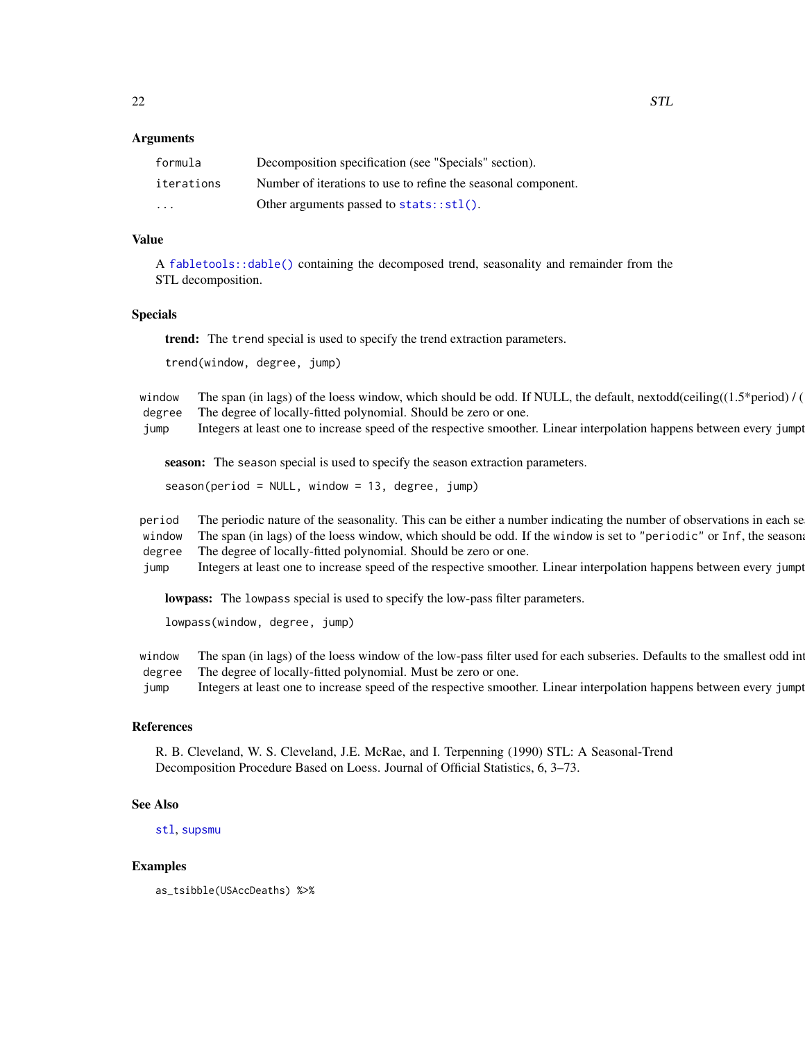#### <span id="page-21-0"></span>Arguments

| formula                 | Decomposition specification (see "Specials" section).         |
|-------------------------|---------------------------------------------------------------|
| iterations              | Number of iterations to use to refine the seasonal component. |
| $\cdot$ $\cdot$ $\cdot$ | Other arguments passed to $stats::st1()$ .                    |

#### Value

A [fabletools::dable\(\)](#page-0-0) containing the decomposed trend, seasonality and remainder from the STL decomposition.

#### Specials

trend: The trend special is used to specify the trend extraction parameters.

trend(window, degree, jump)

window The span (in lags) of the loess window, which should be odd. If NULL, the default, nextodd(ceiling( $(1.5*period)$ ) / degree The degree of locally-fitted polynomial. Should be zero or one.

jump Integers at least one to increase speed of the respective smoother. Linear interpolation happens between every jumpt

season: The season special is used to specify the season extraction parameters.

season(period = NULL, window = 13, degree, jump)

period The periodic nature of the seasonality. This can be either a number indicating the number of observations in each se window The span (in lags) of the loess window, which should be odd. If the window is set to "periodic" or Inf, the seasonal pathtern will be fixed. The should be odd. If the window is set to "periodic" or Inf, the seasonal degree The degree of locally-fitted polynomial. Should be zero or one.

jump Integers at least one to increase speed of the respective smoother. Linear interpolation happens between every jumpt

lowpass: The lowpass special is used to specify the low-pass filter parameters.

lowpass(window, degree, jump)

window The span (in lags) of the loess window of the low-pass filter used for each subseries. Defaults to the smallest odd in degree The degree of locally-fitted polynomial. Must be zero or one.

jump Integers at least one to increase speed of the respective smoother. Linear interpolation happens between every jumpt

#### References

R. B. Cleveland, W. S. Cleveland, J.E. McRae, and I. Terpenning (1990) STL: A Seasonal-Trend Decomposition Procedure Based on Loess. Journal of Official Statistics, 6, 3–73.

#### See Also

[stl](#page-0-0), [supsmu](#page-0-0)

#### Examples

as\_tsibble(USAccDeaths) %>%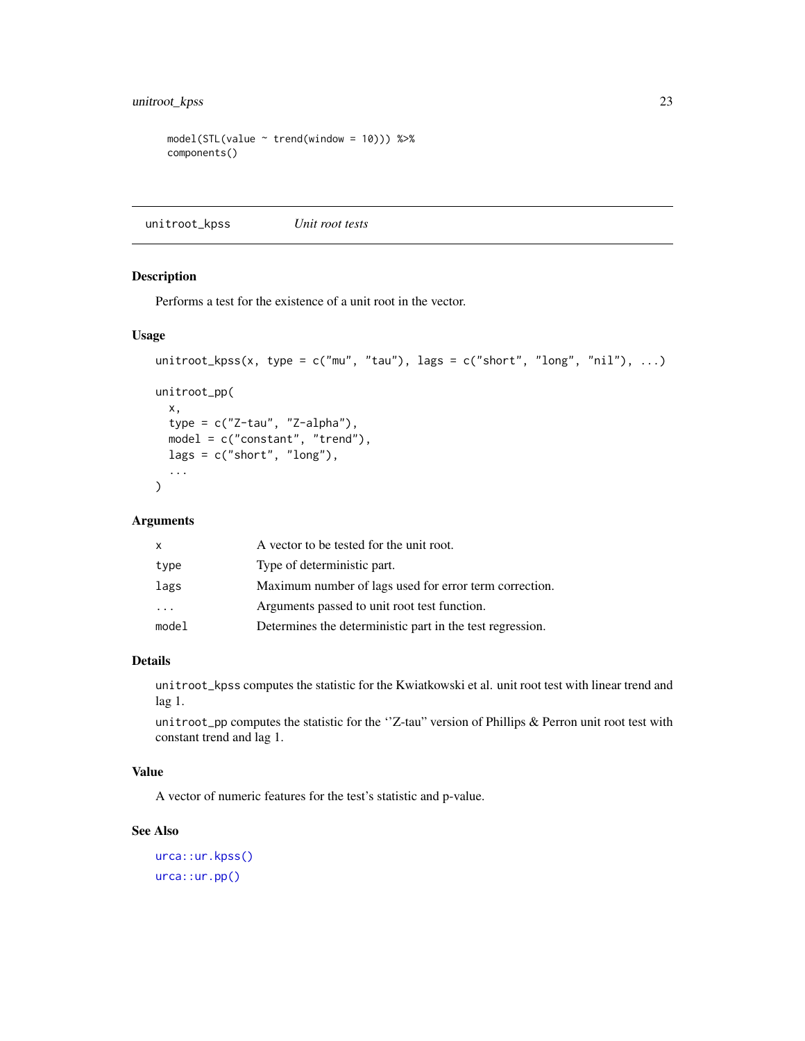#### <span id="page-22-0"></span>unitroot\_kpss 23

```
model(STL(value \sim trend(window = 10))) %>%
components()
```
unitroot\_kpss *Unit root tests*

#### Description

Performs a test for the existence of a unit root in the vector.

#### Usage

```
unitroot_kpss(x, type = c("mu", "tau"), lags = c("short", "long", "nil"), ...)
```

```
unitroot_pp(
  x,
  type = c("Z-tau", "Z-alpha"),
 model = c("constant", "trend"),
 lags = c("short", "long"),...
\lambda
```
#### Arguments

| x     | A vector to be tested for the unit root.                  |
|-------|-----------------------------------------------------------|
| type  | Type of deterministic part.                               |
| lags  | Maximum number of lags used for error term correction.    |
| .     | Arguments passed to unit root test function.              |
| model | Determines the deterministic part in the test regression. |

#### Details

unitroot\_kpss computes the statistic for the Kwiatkowski et al. unit root test with linear trend and lag 1.

unitroot\_pp computes the statistic for the ''Z-tau" version of Phillips & Perron unit root test with constant trend and lag 1.

#### Value

A vector of numeric features for the test's statistic and p-value.

#### See Also

```
urca::ur.kpss()
urca::ur.pp()
```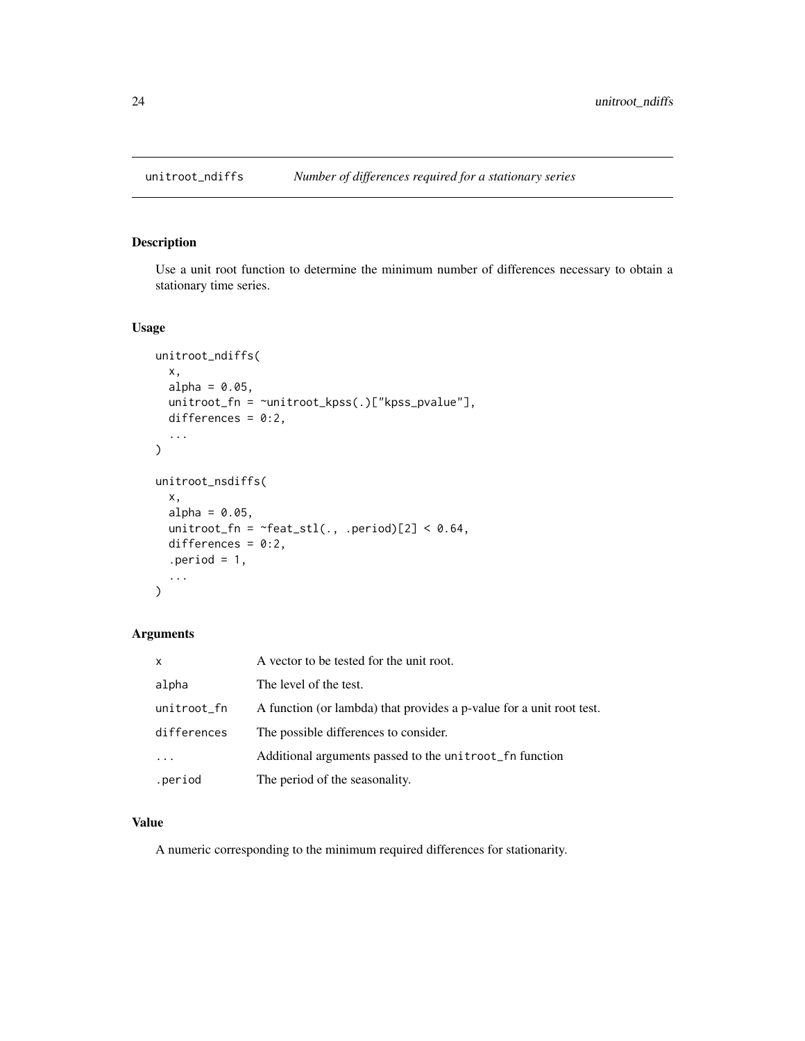<span id="page-23-0"></span>

Use a unit root function to determine the minimum number of differences necessary to obtain a stationary time series.

#### Usage

```
unitroot_ndiffs(
 x,
  alpha = 0.05,
 unitroot_fn = ~unitroot_kpss(.)["kpss_pvalue"],
 differences = 0:2,
  ...
\mathcal{L}unitroot_nsdiffs(
  x,
  alpha = 0.05,
 unitroot_fn = \simfeat_stl(., .period)[2] < 0.64,
 differences = 0:2,
  .period = 1,
  ...
)
```
#### Arguments

| X           | A vector to be tested for the unit root.                             |
|-------------|----------------------------------------------------------------------|
| alpha       | The level of the test.                                               |
| unitroot_fn | A function (or lambda) that provides a p-value for a unit root test. |
| differences | The possible differences to consider.                                |
| $\cdot$     | Additional arguments passed to the unitroot_fn function              |
| .period     | The period of the seasonality.                                       |

#### Value

A numeric corresponding to the minimum required differences for stationarity.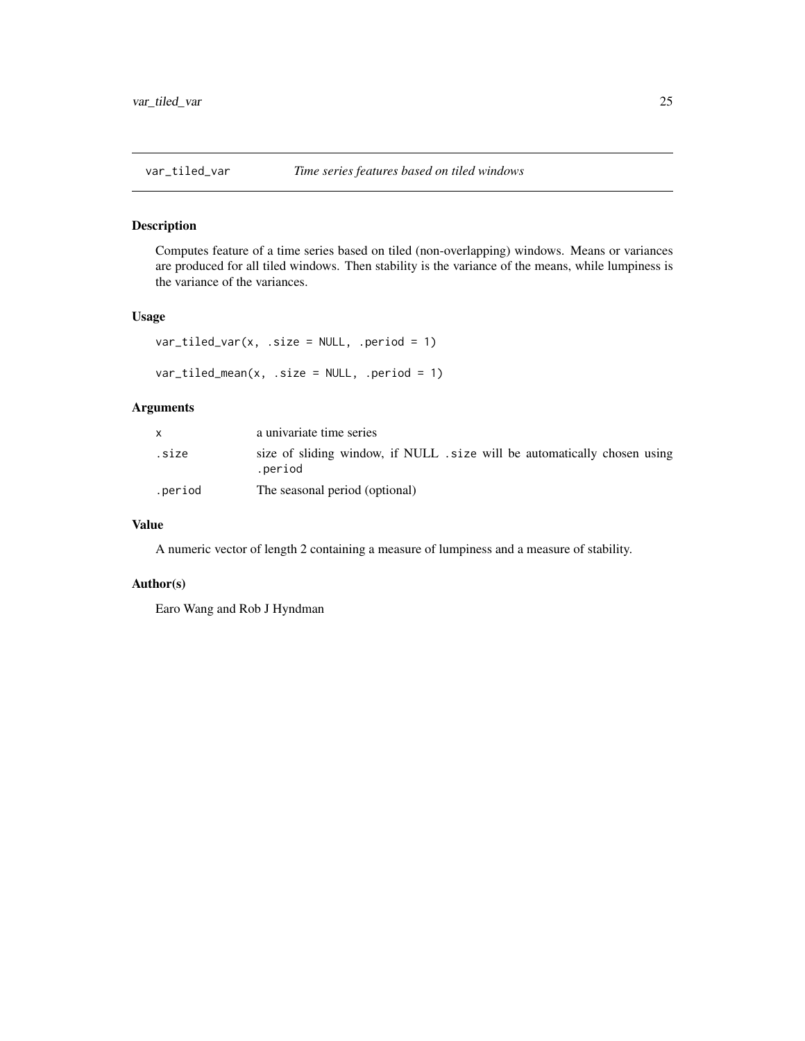<span id="page-24-0"></span>

Computes feature of a time series based on tiled (non-overlapping) windows. Means or variances are produced for all tiled windows. Then stability is the variance of the means, while lumpiness is the variance of the variances.

#### Usage

```
var[tiled_var(x, .size = NULL, .period = 1)
var_tiled_mean(x, .size = NULL, .period = 1)
```
#### Arguments

|         | a univariate time series                                                           |
|---------|------------------------------------------------------------------------------------|
| .size   | size of sliding window, if NULL size will be automatically chosen using<br>.period |
| .period | The seasonal period (optional)                                                     |

#### Value

A numeric vector of length 2 containing a measure of lumpiness and a measure of stability.

#### Author(s)

Earo Wang and Rob J Hyndman